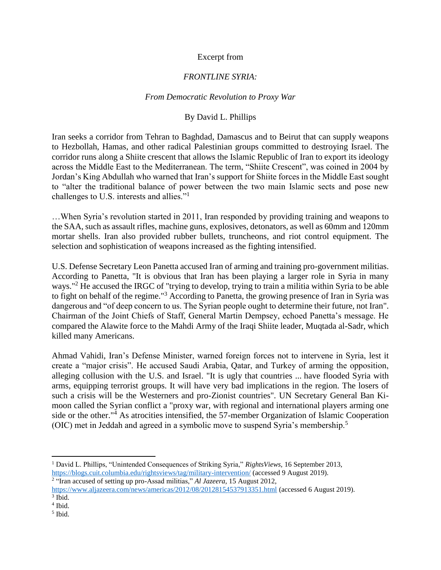## Excerpt from

## *FRONTLINE SYRIA:*

## *From Democratic Revolution to Proxy War*

## By David L. Phillips

Iran seeks a corridor from Tehran to Baghdad, Damascus and to Beirut that can supply weapons to Hezbollah, Hamas, and other radical Palestinian groups committed to destroying Israel. The corridor runs along a Shiite crescent that allows the Islamic Republic of Iran to export its ideology across the Middle East to the Mediterranean. The term, "Shiite Crescent", was coined in 2004 by Jordan's King Abdullah who warned that Iran's support for Shiite forces in the Middle East sought to "alter the traditional balance of power between the two main Islamic sects and pose new challenges to U.S. interests and allies."<sup>1</sup>

…When Syria's revolution started in 2011, Iran responded by providing training and weapons to the SAA, such as assault rifles, machine guns, explosives, detonators, as well as 60mm and 120mm mortar shells. Iran also provided rubber bullets, truncheons, and riot control equipment. The selection and sophistication of weapons increased as the fighting intensified.

U.S. Defense Secretary Leon Panetta accused Iran of arming and training pro-government militias. According to Panetta, "It is obvious that Iran has been playing a larger role in Syria in many ways."<sup>2</sup> He accused the IRGC of "trying to develop, trying to train a militia within Syria to be able to fight on behalf of the regime."<sup>3</sup> According to Panetta, the growing presence of Iran in Syria was dangerous and "of deep concern to us. The Syrian people ought to determine their future, not Iran". Chairman of the Joint Chiefs of Staff, General Martin Dempsey, echoed Panetta's message. He compared the Alawite force to the Mahdi Army of the Iraqi Shiite leader, Muqtada al-Sadr, which killed many Americans.

Ahmad Vahidi, Iran's Defense Minister, warned foreign forces not to intervene in Syria, lest it create a "major crisis". He accused Saudi Arabia, Qatar, and Turkey of arming the opposition, alleging collusion with the U.S. and Israel. "It is ugly that countries ... have flooded Syria with arms, equipping terrorist groups. It will have very bad implications in the region. The losers of such a crisis will be the Westerners and pro-Zionist countries". UN Secretary General Ban Kimoon called the Syrian conflict a "proxy war, with regional and international players arming one side or the other."<sup>4</sup> As atrocities intensified, the 57-member Organization of Islamic Cooperation (OIC) met in Jeddah and agreed in a symbolic move to suspend Syria's membership.<sup>5</sup>

 $\overline{\phantom{a}}$ 

<sup>1</sup> David L. Phillips, "Unintended Consequences of Striking Syria," *RightsViews,* 16 September 2013, <https://blogs.cuit.columbia.edu/rightsviews/tag/military-intervention/> (accessed 9 August 2019).

<sup>2</sup> "Iran accused of setting up pro-Assad militias," *Al Jazeera,* 15 August 2012, <https://www.aljazeera.com/news/americas/2012/08/20128154537913351.html> (accessed 6 August 2019).

<sup>3</sup> Ibid.

<sup>4</sup> Ibid.

<sup>5</sup> Ibid.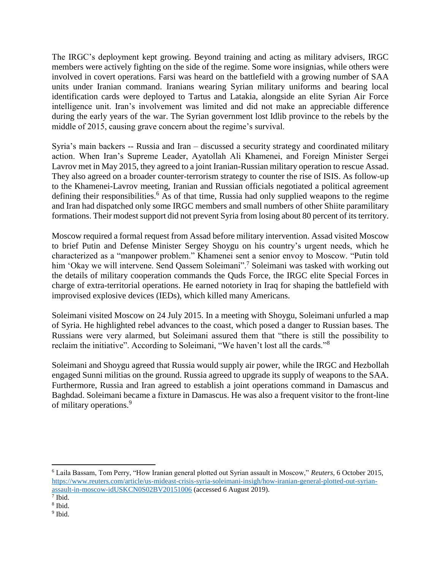The IRGC's deployment kept growing. Beyond training and acting as military advisers, IRGC members were actively fighting on the side of the regime. Some wore insignias, while others were involved in covert operations. Farsi was heard on the battlefield with a growing number of SAA units under Iranian command. Iranians wearing Syrian military uniforms and bearing local identification cards were deployed to Tartus and Latakia, alongside an elite Syrian Air Force intelligence unit. Iran's involvement was limited and did not make an appreciable difference during the early years of the war. The Syrian government lost Idlib province to the rebels by the middle of 2015, causing grave concern about the regime's survival.

Syria's main backers -- Russia and Iran – discussed a security strategy and coordinated military action. When Iran's Supreme Leader, Ayatollah Ali Khamenei, and Foreign Minister Sergei Lavrov met in May 2015, they agreed to a joint Iranian-Russian military operation to rescue Assad. They also agreed on a broader counter-terrorism strategy to counter the rise of ISIS. As follow-up to the Khamenei-Lavrov meeting, Iranian and Russian officials negotiated a political agreement defining their responsibilities.<sup>6</sup> As of that time, Russia had only supplied weapons to the regime and Iran had dispatched only some IRGC members and small numbers of other Shiite paramilitary formations. Their modest support did not prevent Syria from losing about 80 percent of its territory.

Moscow required a formal request from Assad before military intervention. Assad visited Moscow to brief Putin and Defense Minister Sergey Shoygu on his country's urgent needs, which he characterized as a "manpower problem." Khamenei sent a senior envoy to Moscow. "Putin told him 'Okay we will intervene. Send Qassem Soleimani".<sup>7</sup> Soleimani was tasked with working out the details of military cooperation commands the Quds Force, the IRGC elite Special Forces in charge of extra-territorial operations. He earned notoriety in Iraq for shaping the battlefield with improvised explosive devices (IEDs), which killed many Americans.

Soleimani visited Moscow on 24 July 2015. In a meeting with Shoygu, Soleimani unfurled a map of Syria. He highlighted rebel advances to the coast, which posed a danger to Russian bases. The Russians were very alarmed, but Soleimani assured them that "there is still the possibility to reclaim the initiative". According to Soleimani, "We haven't lost all the cards."<sup>8</sup>

Soleimani and Shoygu agreed that Russia would supply air power, while the IRGC and Hezbollah engaged Sunni militias on the ground. Russia agreed to upgrade its supply of weapons to the SAA. Furthermore, Russia and Iran agreed to establish a joint operations command in Damascus and Baghdad. Soleimani became a fixture in Damascus. He was also a frequent visitor to the front-line of military operations.<sup>9</sup>

 $\overline{\phantom{a}}$ <sup>6</sup> Laila Bassam, Tom Perry, "How Iranian general plotted out Syrian assault in Moscow," *Reuters,* 6 October 2015, [https://www.reuters.com/article/us-mideast-crisis-syria-soleimani-insigh/how-iranian-general-plotted-out-syrian](https://www.reuters.com/article/us-mideast-crisis-syria-soleimani-insigh/how-iranian-general-plotted-out-syrian-assault-in-moscow-idUSKCN0S02BV20151006)[assault-in-moscow-idUSKCN0S02BV20151006](https://www.reuters.com/article/us-mideast-crisis-syria-soleimani-insigh/how-iranian-general-plotted-out-syrian-assault-in-moscow-idUSKCN0S02BV20151006) (accessed 6 August 2019).

<sup>7</sup> Ibid.

<sup>8</sup> Ibid.

<sup>&</sup>lt;sup>9</sup> Ibid.